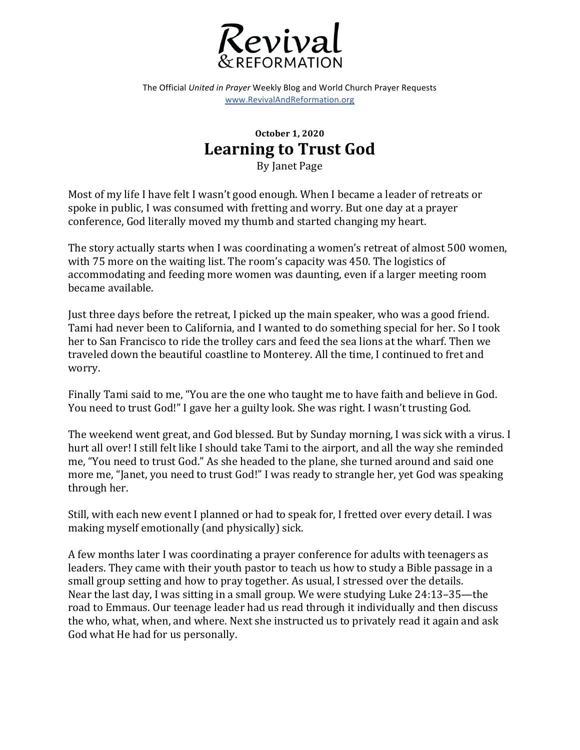

The Official *United in Prayer* Weekly Blog and World Church Prayer Requests www.RevivalAndReformation.org

## **October 1, 2020 Learning to Trust God**

By Janet Page

Most of my life I have felt I wasn't good enough. When I became a leader of retreats or spoke in public, I was consumed with fretting and worry. But one day at a prayer conference, God literally moved my thumb and started changing my heart.

The story actually starts when I was coordinating a women's retreat of almost 500 women, with 75 more on the waiting list. The room's capacity was 450. The logistics of accommodating and feeding more women was daunting, even if a larger meeting room became available.

Just three days before the retreat, I picked up the main speaker, who was a good friend. Tami had never been to California, and I wanted to do something special for her. So I took her to San Francisco to ride the trolley cars and feed the sea lions at the wharf. Then we traveled down the beautiful coastline to Monterey. All the time, I continued to fret and worry. 

Finally Tami said to me, "You are the one who taught me to have faith and believe in God. You need to trust God!" I gave her a guilty look. She was right. I wasn't trusting God.

The weekend went great, and God blessed. But by Sunday morning, I was sick with a virus. I hurt all over! I still felt like I should take Tami to the airport, and all the way she reminded me, "You need to trust God." As she headed to the plane, she turned around and said one more me, "Janet, you need to trust God!" I was ready to strangle her, yet God was speaking through her.

Still, with each new event I planned or had to speak for, I fretted over every detail. I was making myself emotionally (and physically) sick.

A few months later I was coordinating a prayer conference for adults with teenagers as leaders. They came with their youth pastor to teach us how to study a Bible passage in a small group setting and how to pray together. As usual, I stressed over the details. Near the last day, I was sitting in a small group. We were studying Luke  $24:13-35$ —the road to Emmaus. Our teenage leader had us read through it individually and then discuss the who, what, when, and where. Next she instructed us to privately read it again and ask God what He had for us personally.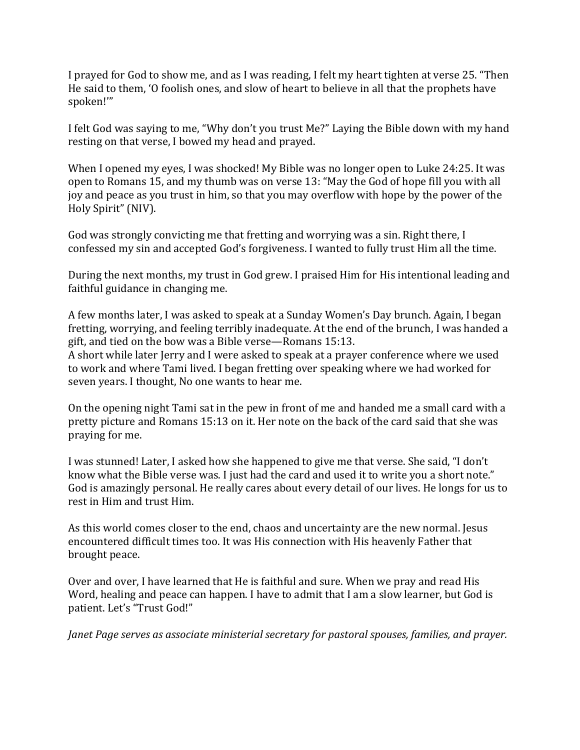I prayed for God to show me, and as I was reading, I felt my heart tighten at verse 25. "Then He said to them, 'O foolish ones, and slow of heart to believe in all that the prophets have spoken!'"

I felt God was saying to me, "Why don't you trust Me?" Laying the Bible down with my hand resting on that verse, I bowed my head and prayed.

When I opened my eyes, I was shocked! My Bible was no longer open to Luke 24:25. It was open to Romans 15, and my thumb was on verse 13: "May the God of hope fill you with all joy and peace as you trust in him, so that you may overflow with hope by the power of the Holy Spirit" (NIV).

God was strongly convicting me that fretting and worrying was a sin. Right there, I confessed my sin and accepted God's forgiveness. I wanted to fully trust Him all the time.

During the next months, my trust in God grew. I praised Him for His intentional leading and faithful guidance in changing me.

A few months later, I was asked to speak at a Sunday Women's Day brunch. Again, I began fretting, worrying, and feeling terribly inadequate. At the end of the brunch, I was handed a gift, and tied on the bow was a Bible verse—Romans 15:13.

A short while later Jerry and I were asked to speak at a prayer conference where we used to work and where Tami lived. I began fretting over speaking where we had worked for seven years. I thought, No one wants to hear me.

On the opening night Tami sat in the pew in front of me and handed me a small card with a pretty picture and Romans 15:13 on it. Her note on the back of the card said that she was praying for me.

I was stunned! Later, I asked how she happened to give me that verse. She said, "I don't know what the Bible verse was. I just had the card and used it to write you a short note." God is amazingly personal. He really cares about every detail of our lives. He longs for us to rest in Him and trust Him.

As this world comes closer to the end, chaos and uncertainty are the new normal. Jesus encountered difficult times too. It was His connection with His heavenly Father that brought peace.

Over and over, I have learned that He is faithful and sure. When we pray and read His Word, healing and peace can happen. I have to admit that I am a slow learner, but God is patient. Let's "Trust God!"

*Janet Page serves as associate ministerial secretary for pastoral spouses, families, and prayer.*